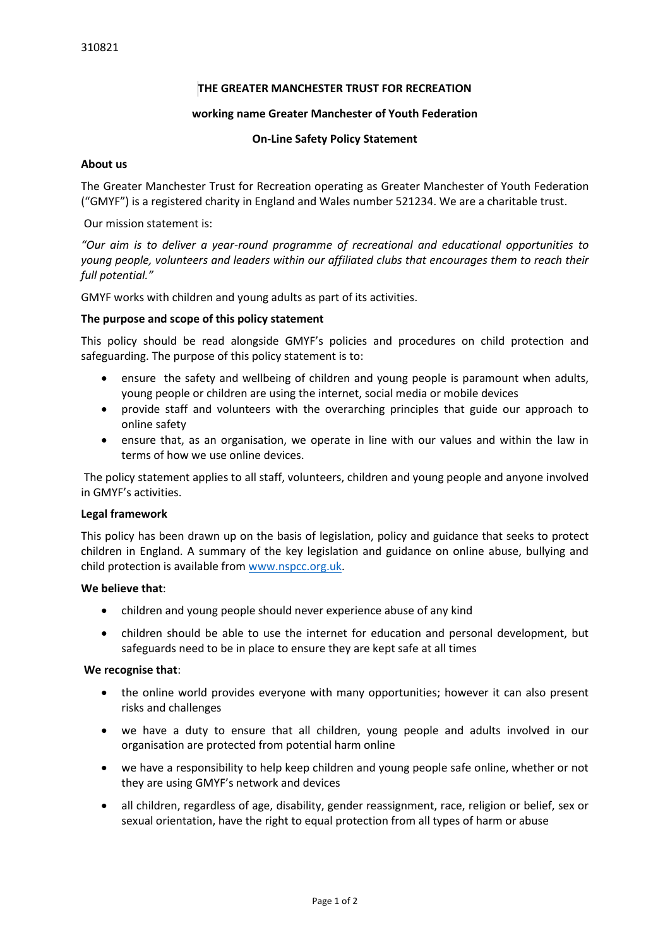## **THE GREATER MANCHESTER TRUST FOR RECREATION**

### **working name Greater Manchester of Youth Federation**

#### **On-Line Safety Policy Statement**

#### **About us**

The Greater Manchester Trust for Recreation operating as Greater Manchester of Youth Federation ("GMYF") is a registered charity in England and Wales number 521234. We are a charitable trust.

Our mission statement is:

*"Our aim is to deliver a year-round programme of recreational and educational opportunities to young people, volunteers and leaders within our affiliated clubs that encourages them to reach their full potential."*

GMYF works with children and young adults as part of its activities.

## **The purpose and scope of this policy statement**

This policy should be read alongside GMYF's policies and procedures on child protection and safeguarding. The purpose of this policy statement is to:

- ensure the safety and wellbeing of children and young people is paramount when adults, young people or children are using the internet, social media or mobile devices
- provide staff and volunteers with the overarching principles that guide our approach to online safety
- ensure that, as an organisation, we operate in line with our values and within the law in terms of how we use online devices.

 The policy statement applies to all staff, volunteers, children and young people and anyone involved in GMYF's activities.

### **Legal framework**

This policy has been drawn up on the basis of legislation, policy and guidance that seeks to protect children in England. A summary of the key legislation and guidance on online abuse, bullying and child protection is available from [www.nspcc.org.uk.](http://www.nspcc.org.uk/)

### **We believe that**:

- children and young people should never experience abuse of any kind
- children should be able to use the internet for education and personal development, but safeguards need to be in place to ensure they are kept safe at all times

#### **We recognise that**:

- the online world provides everyone with many opportunities; however it can also present risks and challenges
- we have a duty to ensure that all children, young people and adults involved in our organisation are protected from potential harm online
- we have a responsibility to help keep children and young people safe online, whether or not they are using GMYF's network and devices
- all children, regardless of age, disability, gender reassignment, race, religion or belief, sex or sexual orientation, have the right to equal protection from all types of harm or abuse